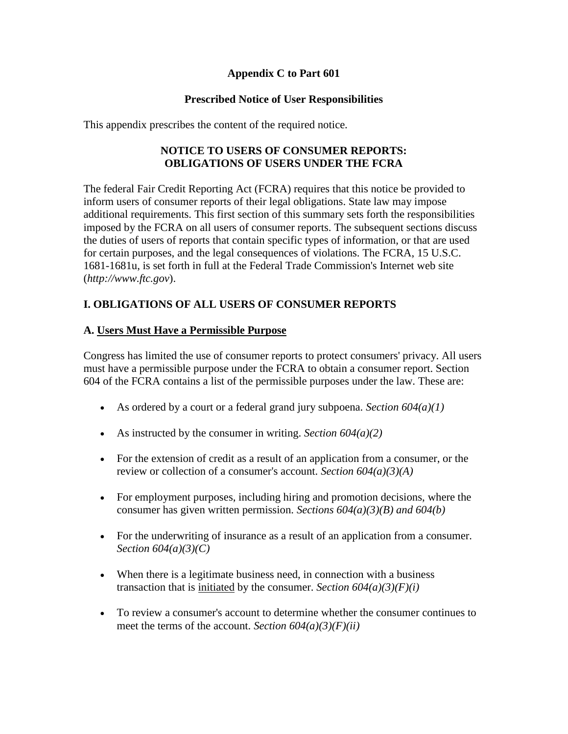#### **Appendix C to Part 601**

#### **Prescribed Notice of User Responsibilities**

This appendix prescribes the content of the required notice.

#### **NOTICE TO USERS OF CONSUMER REPORTS: OBLIGATIONS OF USERS UNDER THE FCRA**

The federal Fair Credit Reporting Act (FCRA) requires that this notice be provided to inform users of consumer reports of their legal obligations. State law may impose additional requirements. This first section of this summary sets forth the responsibilities imposed by the FCRA on all users of consumer reports. The subsequent sections discuss the duties of users of reports that contain specific types of information, or that are used for certain purposes, and the legal consequences of violations. The FCRA, 15 U.S.C. 1681-1681u, is set forth in full at the Federal Trade Commission's Internet web site (*http://www.ftc.gov*).

# **I. OBLIGATIONS OF ALL USERS OF CONSUMER REPORTS**

#### **A. Users Must Have a Permissible Purpose**

Congress has limited the use of consumer reports to protect consumers' privacy. All users must have a permissible purpose under the FCRA to obtain a consumer report. Section 604 of the FCRA contains a list of the permissible purposes under the law. These are:

- As ordered by a court or a federal grand jury subpoena. *Section 604(a)(1)*
- As instructed by the consumer in writing. *Section 604(a)(2)*
- For the extension of credit as a result of an application from a consumer, or the review or collection of a consumer's account. *Section 604(a)(3)(A)*
- For employment purposes, including hiring and promotion decisions, where the consumer has given written permission. *Sections 604(a)(3)(B) and 604(b)*
- For the underwriting of insurance as a result of an application from a consumer*. Section 604(a)(3)(C)*
- When there is a legitimate business need, in connection with a business transaction that is initiated by the consumer. *Section*  $604(a)(3)(F)(i)$
- To review a consumer's account to determine whether the consumer continues to meet the terms of the account. *Section 604(a)(3)(F)(ii)*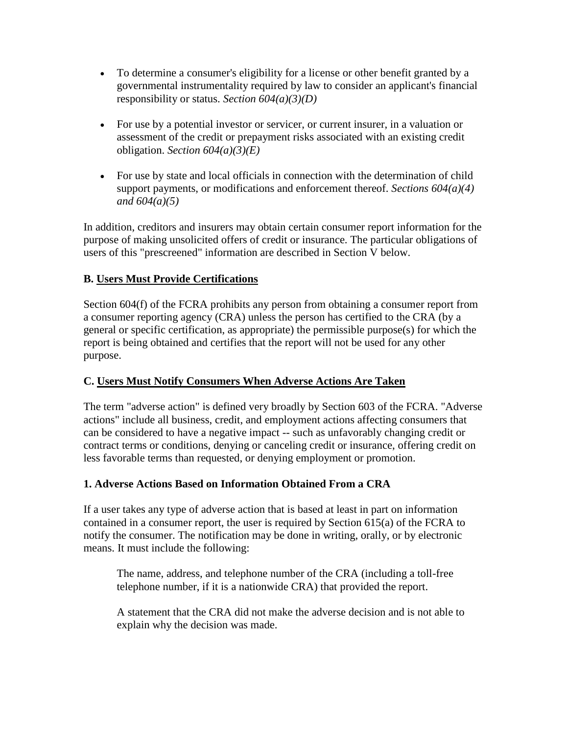- To determine a consumer's eligibility for a license or other benefit granted by a governmental instrumentality required by law to consider an applicant's financial responsibility or status. *Section 604(a)(3)(D)*
- For use by a potential investor or servicer, or current insurer, in a valuation or assessment of the credit or prepayment risks associated with an existing credit obligation. *Section 604(a)(3)(E)*
- For use by state and local officials in connection with the determination of child support payments, or modifications and enforcement thereof. *Sections 604(a)(4) and 604(a)(5)*

In addition, creditors and insurers may obtain certain consumer report information for the purpose of making unsolicited offers of credit or insurance. The particular obligations of users of this "prescreened" information are described in Section V below.

# **B. Users Must Provide Certifications**

Section 604(f) of the FCRA prohibits any person from obtaining a consumer report from a consumer reporting agency (CRA) unless the person has certified to the CRA (by a general or specific certification, as appropriate) the permissible purpose(s) for which the report is being obtained and certifies that the report will not be used for any other purpose.

# **C. Users Must Notify Consumers When Adverse Actions Are Taken**

The term "adverse action" is defined very broadly by Section 603 of the FCRA. "Adverse actions" include all business, credit, and employment actions affecting consumers that can be considered to have a negative impact -- such as unfavorably changing credit or contract terms or conditions, denying or canceling credit or insurance, offering credit on less favorable terms than requested, or denying employment or promotion.

# **1. Adverse Actions Based on Information Obtained From a CRA**

If a user takes any type of adverse action that is based at least in part on information contained in a consumer report, the user is required by Section 615(a) of the FCRA to notify the consumer. The notification may be done in writing, orally, or by electronic means. It must include the following:

The name, address, and telephone number of the CRA (including a toll-free telephone number, if it is a nationwide CRA) that provided the report.

A statement that the CRA did not make the adverse decision and is not able to explain why the decision was made.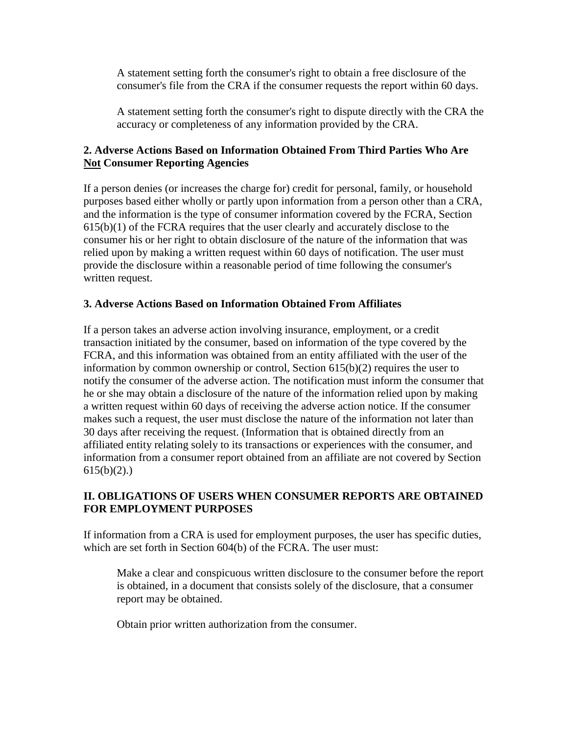A statement setting forth the consumer's right to obtain a free disclosure of the consumer's file from the CRA if the consumer requests the report within 60 days.

A statement setting forth the consumer's right to dispute directly with the CRA the accuracy or completeness of any information provided by the CRA.

#### **2. Adverse Actions Based on Information Obtained From Third Parties Who Are Not Consumer Reporting Agencies**

If a person denies (or increases the charge for) credit for personal, family, or household purposes based either wholly or partly upon information from a person other than a CRA, and the information is the type of consumer information covered by the FCRA, Section 615(b)(1) of the FCRA requires that the user clearly and accurately disclose to the consumer his or her right to obtain disclosure of the nature of the information that was relied upon by making a written request within 60 days of notification. The user must provide the disclosure within a reasonable period of time following the consumer's written request.

#### **3. Adverse Actions Based on Information Obtained From Affiliates**

If a person takes an adverse action involving insurance, employment, or a credit transaction initiated by the consumer, based on information of the type covered by the FCRA, and this information was obtained from an entity affiliated with the user of the information by common ownership or control, Section 615(b)(2) requires the user to notify the consumer of the adverse action. The notification must inform the consumer that he or she may obtain a disclosure of the nature of the information relied upon by making a written request within 60 days of receiving the adverse action notice. If the consumer makes such a request, the user must disclose the nature of the information not later than 30 days after receiving the request. (Information that is obtained directly from an affiliated entity relating solely to its transactions or experiences with the consumer, and information from a consumer report obtained from an affiliate are not covered by Section  $615(b)(2)$ .)

## **II. OBLIGATIONS OF USERS WHEN CONSUMER REPORTS ARE OBTAINED FOR EMPLOYMENT PURPOSES**

If information from a CRA is used for employment purposes, the user has specific duties, which are set forth in Section 604(b) of the FCRA. The user must:

Make a clear and conspicuous written disclosure to the consumer before the report is obtained, in a document that consists solely of the disclosure, that a consumer report may be obtained.

Obtain prior written authorization from the consumer.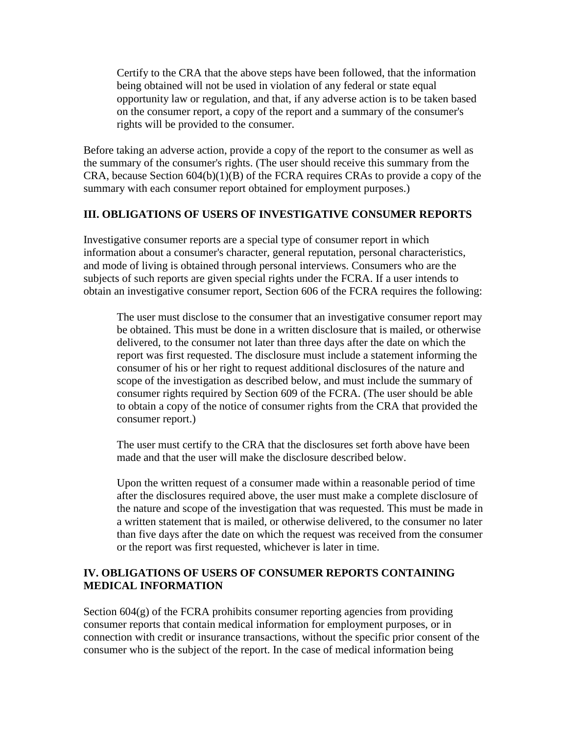Certify to the CRA that the above steps have been followed, that the information being obtained will not be used in violation of any federal or state equal opportunity law or regulation, and that, if any adverse action is to be taken based on the consumer report, a copy of the report and a summary of the consumer's rights will be provided to the consumer.

Before taking an adverse action, provide a copy of the report to the consumer as well as the summary of the consumer's rights. (The user should receive this summary from the CRA, because Section 604(b)(1)(B) of the FCRA requires CRAs to provide a copy of the summary with each consumer report obtained for employment purposes.)

#### **III. OBLIGATIONS OF USERS OF INVESTIGATIVE CONSUMER REPORTS**

Investigative consumer reports are a special type of consumer report in which information about a consumer's character, general reputation, personal characteristics, and mode of living is obtained through personal interviews. Consumers who are the subjects of such reports are given special rights under the FCRA. If a user intends to obtain an investigative consumer report, Section 606 of the FCRA requires the following:

The user must disclose to the consumer that an investigative consumer report may be obtained. This must be done in a written disclosure that is mailed, or otherwise delivered, to the consumer not later than three days after the date on which the report was first requested. The disclosure must include a statement informing the consumer of his or her right to request additional disclosures of the nature and scope of the investigation as described below, and must include the summary of consumer rights required by Section 609 of the FCRA. (The user should be able to obtain a copy of the notice of consumer rights from the CRA that provided the consumer report.)

The user must certify to the CRA that the disclosures set forth above have been made and that the user will make the disclosure described below.

Upon the written request of a consumer made within a reasonable period of time after the disclosures required above, the user must make a complete disclosure of the nature and scope of the investigation that was requested. This must be made in a written statement that is mailed, or otherwise delivered, to the consumer no later than five days after the date on which the request was received from the consumer or the report was first requested, whichever is later in time.

#### **IV. OBLIGATIONS OF USERS OF CONSUMER REPORTS CONTAINING MEDICAL INFORMATION**

Section 604(g) of the FCRA prohibits consumer reporting agencies from providing consumer reports that contain medical information for employment purposes, or in connection with credit or insurance transactions, without the specific prior consent of the consumer who is the subject of the report. In the case of medical information being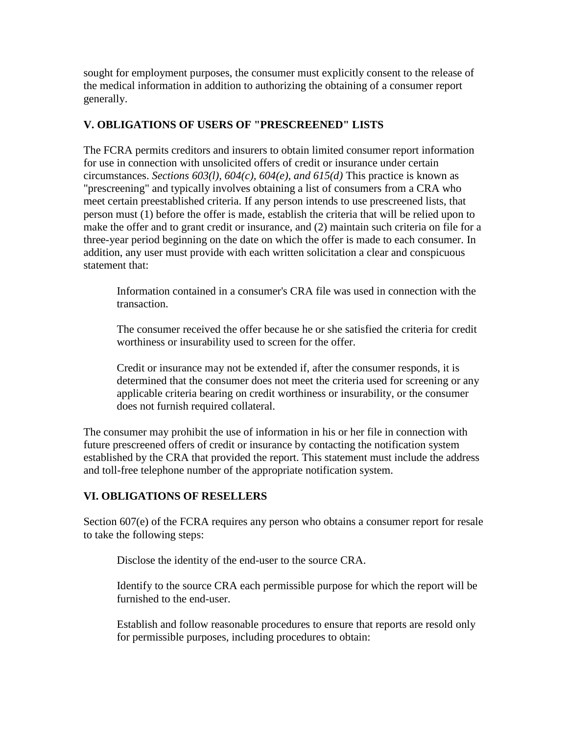sought for employment purposes, the consumer must explicitly consent to the release of the medical information in addition to authorizing the obtaining of a consumer report generally.

## **V. OBLIGATIONS OF USERS OF "PRESCREENED" LISTS**

The FCRA permits creditors and insurers to obtain limited consumer report information for use in connection with unsolicited offers of credit or insurance under certain circumstances. *Sections 603(l), 604(c), 604(e), and 615(d)* This practice is known as "prescreening" and typically involves obtaining a list of consumers from a CRA who meet certain preestablished criteria. If any person intends to use prescreened lists, that person must (1) before the offer is made, establish the criteria that will be relied upon to make the offer and to grant credit or insurance, and (2) maintain such criteria on file for a three-year period beginning on the date on which the offer is made to each consumer. In addition, any user must provide with each written solicitation a clear and conspicuous statement that:

Information contained in a consumer's CRA file was used in connection with the transaction.

The consumer received the offer because he or she satisfied the criteria for credit worthiness or insurability used to screen for the offer.

Credit or insurance may not be extended if, after the consumer responds, it is determined that the consumer does not meet the criteria used for screening or any applicable criteria bearing on credit worthiness or insurability, or the consumer does not furnish required collateral.

The consumer may prohibit the use of information in his or her file in connection with future prescreened offers of credit or insurance by contacting the notification system established by the CRA that provided the report. This statement must include the address and toll-free telephone number of the appropriate notification system.

#### **VI. OBLIGATIONS OF RESELLERS**

Section 607(e) of the FCRA requires any person who obtains a consumer report for resale to take the following steps:

Disclose the identity of the end-user to the source CRA.

Identify to the source CRA each permissible purpose for which the report will be furnished to the end-user.

Establish and follow reasonable procedures to ensure that reports are resold only for permissible purposes, including procedures to obtain: